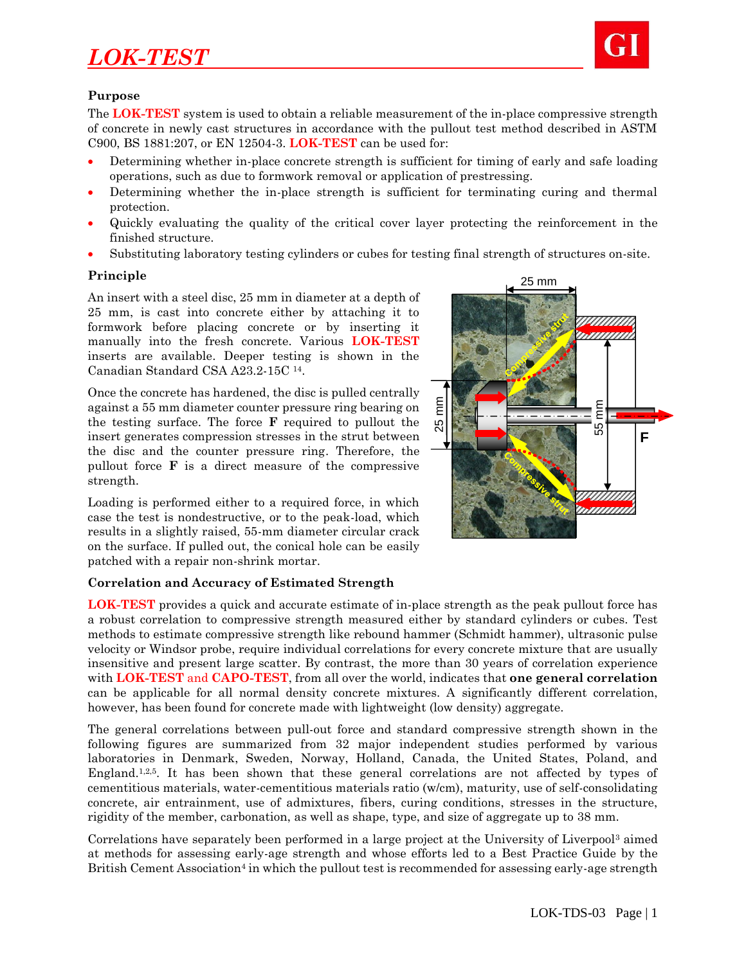

### **Purpose**

The **LOK-TEST** system is used to obtain a reliable measurement of the in-place compressive strength of concrete in newly cast structures in accordance with the pullout test method described in ASTM C900, BS 1881:207, or EN 12504-3. **LOK-TEST** can be used for:

- Determining whether in-place concrete strength is sufficient for timing of early and safe loading operations, such as due to formwork removal or application of prestressing.
- Determining whether the in-place strength is sufficient for terminating curing and thermal protection.
- Quickly evaluating the quality of the critical cover layer protecting the reinforcement in the finished structure.
- Substituting laboratory testing cylinders or cubes for testing final strength of structures on-site.

### **Principle**

An insert with a steel disc, 25 mm in diameter at a depth of 25 mm, is cast into concrete either by attaching it to formwork before placing concrete or by inserting it manually into the fresh concrete. Various **LOK-TEST** inserts are available. Deeper testing is shown in the Canadian Standard CSA A23.2-15C <sup>14</sup>.

Once the concrete has hardened, the disc is pulled centrally against a 55 mm diameter counter pressure ring bearing on the testing surface. The force **F** required to pullout the insert generates compression stresses in the strut between the disc and the counter pressure ring. Therefore, the pullout force **F** is a direct measure of the compressive strength.

Loading is performed either to a required force, in which case the test is nondestructive, or to the peak-load, which results in a slightly raised, 55-mm diameter circular crack on the surface. If pulled out, the conical hole can be easily patched with a repair non-shrink mortar.



**LOK-TEST** provides a quick and accurate estimate of in-place strength as the peak pullout force has a robust correlation to compressive strength measured either by standard cylinders or cubes. Test methods to estimate compressive strength like rebound hammer (Schmidt hammer), ultrasonic pulse velocity or Windsor probe, require individual correlations for every concrete mixture that are usually insensitive and present large scatter. By contrast, the more than 30 years of correlation experience with **LOK-TEST** and **CAPO-TEST**, from all over the world, indicates that **one general correlation** can be applicable for all normal density concrete mixtures. A significantly different correlation, however, has been found for concrete made with lightweight (low density) aggregate.

The general correlations between pull-out force and standard compressive strength shown in the following figures are summarized from 32 major independent studies performed by various laboratories in Denmark, Sweden, Norway, Holland, Canada, the United States, Poland, and England.<sup>1,2,5</sup>. It has been shown that these general correlations are not affected by types of cementitious materials, water-cementitious materials ratio (w/cm), maturity, use of self-consolidating concrete, air entrainment, use of admixtures, fibers, curing conditions, stresses in the structure, rigidity of the member, carbonation, as well as shape, type, and size of aggregate up to 38 mm.

Correlations have separately been performed in a large project at the University of Liverpool<sup>3</sup> aimed at methods for assessing early-age strength and whose efforts led to a Best Practice Guide by the British Cement Association<sup>4</sup> in which the pullout test is recommended for assessing early-age strength

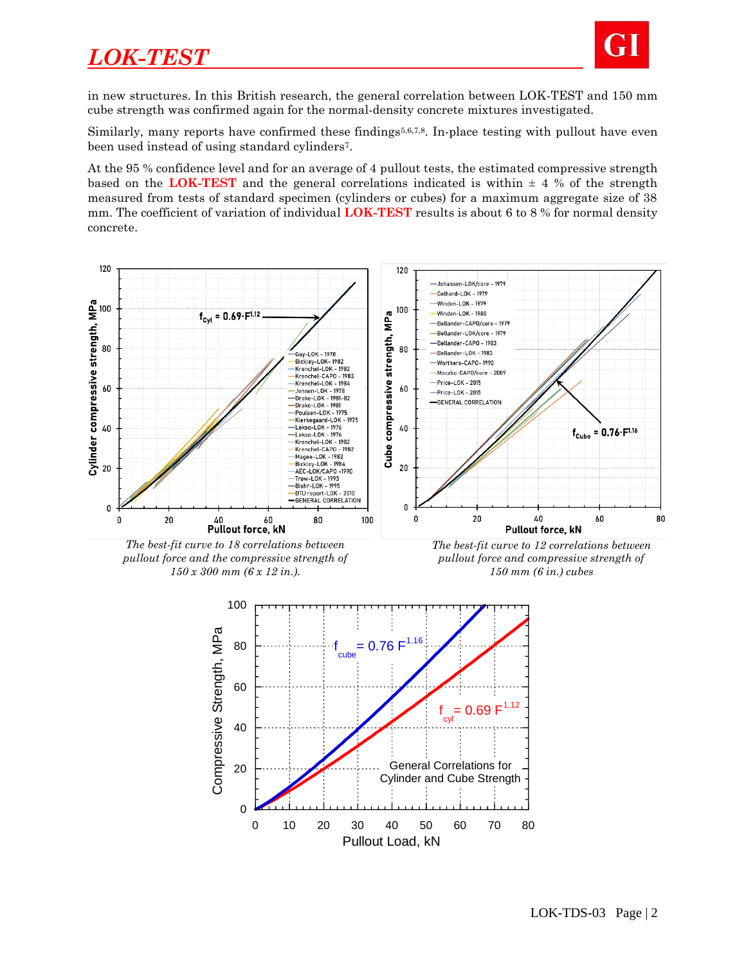

in new structures. In this British research, the general correlation between LOK-TEST and 150 mm cube strength was confirmed again for the normal-density concrete mixtures investigated.

Similarly, many reports have confirmed these findings<sup>5,6,7,8</sup>. In-place testing with pullout have even been used instead of using standard cylinders7.

At the 95 % confidence level and for an average of 4 pullout tests, the estimated compressive strength based on the **LOK-TEST** and the general correlations indicated is within  $\pm$  4 % of the strength measured from tests of standard specimen (cylinders or cubes) for a maximum aggregate size of 38 mm. The coefficient of variation of individual **LOK-TEST** results is about 6 to 8 % for normal density concrete.



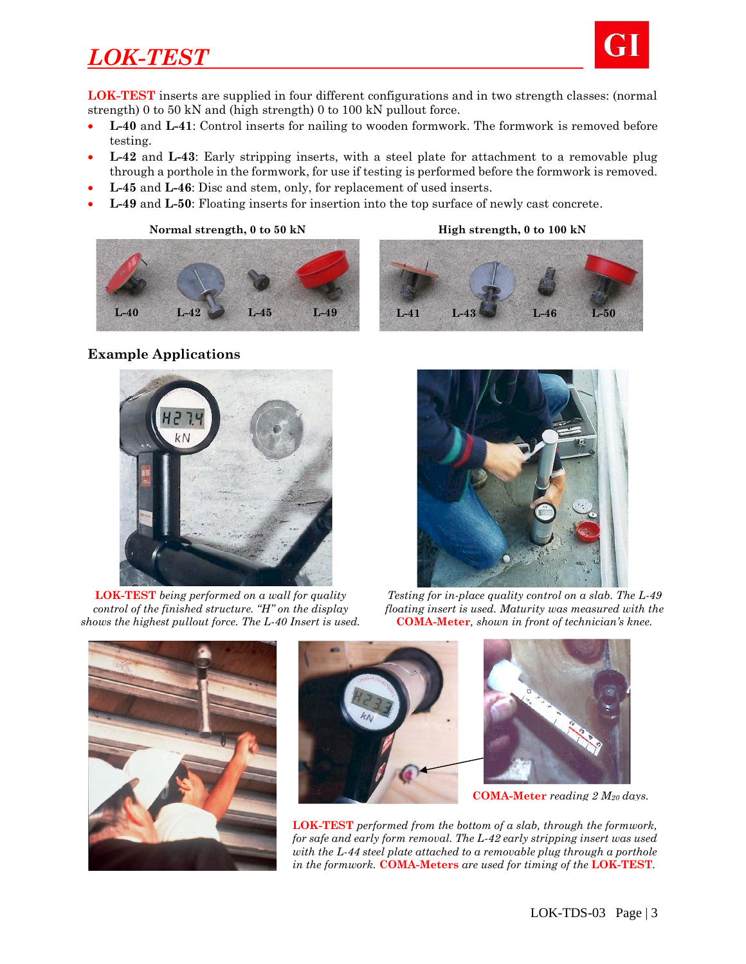

**LOK-TEST** inserts are supplied in four different configurations and in two strength classes: (normal strength) 0 to 50 kN and (high strength) 0 to 100 kN pullout force.

- **L-40** and **L-41**: Control inserts for nailing to wooden formwork. The formwork is removed before testing.
- **L-42** and **L-43**: Early stripping inserts, with a steel plate for attachment to a removable plug through a porthole in the formwork, for use if testing is performed before the formwork is removed.
- **L-45** and **L-46**: Disc and stem, only, for replacement of used inserts.
- **L-49** and **L-50**: Floating inserts for insertion into the top surface of newly cast concrete.

Normal-Strength Inserts High-Strength Inserts **Normal strength, 0 to 50 kN High strength, 0 to 100 kN L-40 L-42 L-45 L-49 L-41 L-43 L-46 L-50** 



### **Example Applications**



**LOK-TEST** *being performed on a wall for quality control of the finished structure. "H" on the display shows the highest pullout force. The L-40 Insert is used.*



*Testing for in-place quality control on a slab. The L-49 floating insert is used. Maturity was measured with the*  **COMA-Meter***, shown in front of technician's knee.*





**LOK-TEST** *performed from the bottom of a slab, through the formwork, for safe and early form removal. The L-42 early stripping insert was used with the L-44 steel plate attached to a removable plug through a porthole in the formwork.* **COMA-Meters** *are used for timing of the* **LOK-TEST***.* **COMA-Meter** *reading 2 M<sup>20</sup> days.*

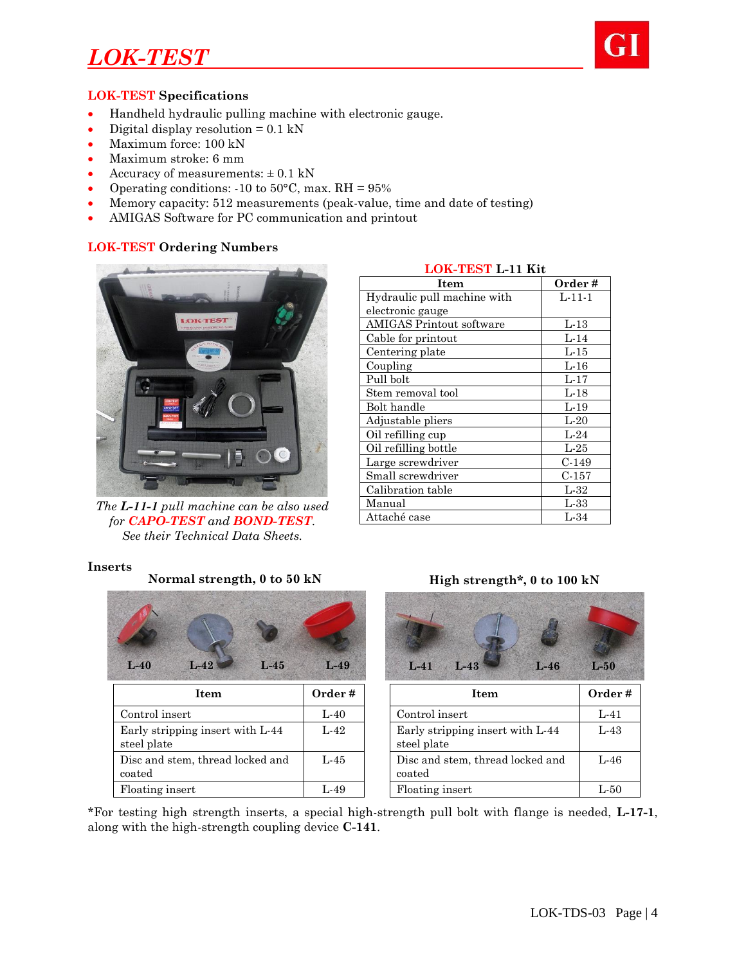

#### **LOK-TEST Specifications**

- Handheld hydraulic pulling machine with electronic gauge.
- Digital display resolution  $= 0.1 \text{ kN}$
- Maximum force: 100 kN
- Maximum stroke: 6 mm
- Accuracy of measurements:  $\pm$  0.1 kN
- Operating conditions:  $-10$  to  $50^{\circ}$ C, max. RH =  $95\%$
- Memory capacity: 512 measurements (peak-value, time and date of testing)
- AMIGAS Software for PC communication and printout

### **LOK-TEST Ordering Numbers**



*The L-11-1 pull machine can be also used for CAPO-TEST and BOND-TEST. See their Technical Data Sheets.*

| LOI - 1 LOI 1 - 11 INC          |          |  |  |  |
|---------------------------------|----------|--|--|--|
| Item                            | Order #  |  |  |  |
| Hydraulic pull machine with     | $L-11-1$ |  |  |  |
| electronic gauge                |          |  |  |  |
| <b>AMIGAS Printout software</b> | $L-13$   |  |  |  |
| Cable for printout              | $L-14$   |  |  |  |
| Centering plate                 | $L-15$   |  |  |  |
| Coupling                        | $L-16$   |  |  |  |
| Pull bolt                       | $L-17$   |  |  |  |
| Stem removal tool               | $L-18$   |  |  |  |
| Bolt handle                     | $L-19$   |  |  |  |
| Adjustable pliers               | $L-20$   |  |  |  |
| Oil refilling cup               | $L-24$   |  |  |  |
| Oil refilling bottle            | $L-25$   |  |  |  |
| Large screwdriver               | $C-149$  |  |  |  |
| Small screwdriver               | $C-157$  |  |  |  |
| Calibration table               | $L-32$   |  |  |  |
| Manual                          | $L-33$   |  |  |  |
| Attaché case                    | $L-34$   |  |  |  |

## **LOK-TEST L-11 Kit**

#### **Inserts**

| $L-40$<br>$L-42$<br>$L-45$                      | $L-49$ | $L-46$<br>$L-41$<br>$L-43$                      | $L-50$ |
|-------------------------------------------------|--------|-------------------------------------------------|--------|
| <b>Item</b>                                     | Order# | Item                                            | Order  |
| Control insert                                  | $L-40$ | Control insert                                  | $L-41$ |
| Early stripping insert with L-44<br>steel plate | $L-42$ | Early stripping insert with L-44<br>steel plate | $L-43$ |
| Disc and stem, thread locked and<br>coated      | $L-45$ | Disc and stem, thread locked and<br>coated      | $L-46$ |
| Floating insert                                 | $L-49$ | Floating insert                                 |        |

### Normal strength, 0 to 50 kN **High strength\*, 0 to 100 kN**



| L-40   |        | Control insert                                  | $L - 41$ |
|--------|--------|-------------------------------------------------|----------|
| $L-42$ |        | Early stripping insert with L-44<br>steel plate | $L-43$   |
| L-45   | coated | Disc and stem, thread locked and                | $L - 46$ |
| L-49   |        | Floating insert                                 | L-50     |

\*For testing high strength inserts, a special high-strength pull bolt with flange is needed, **L-17-1**, along with the high-strength coupling device **C-141**.